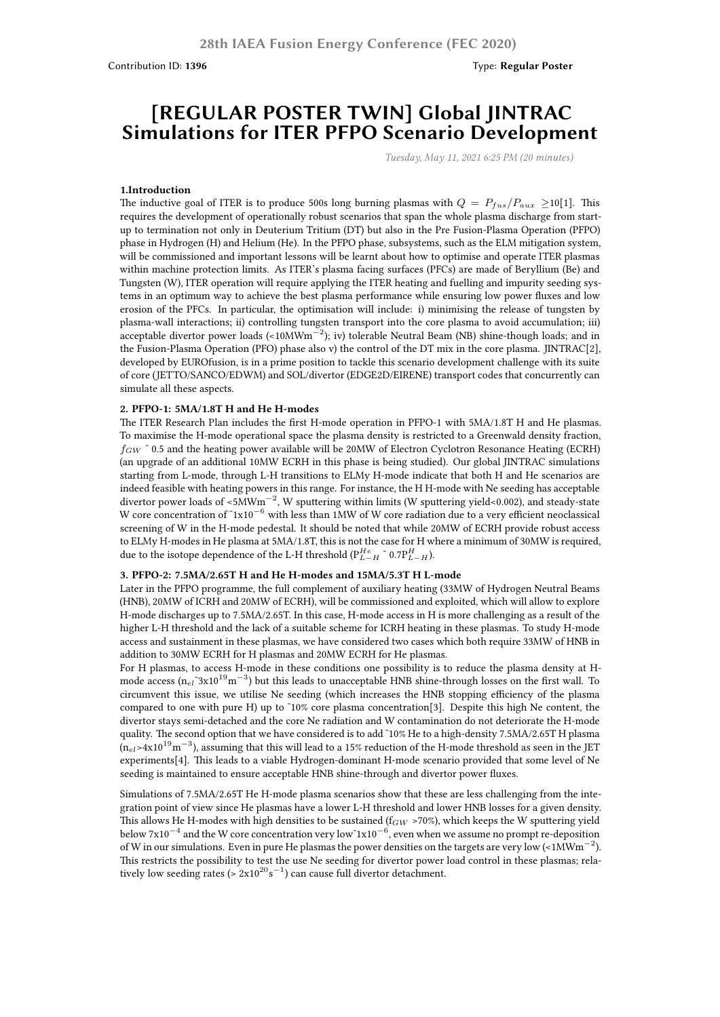# **[REGULAR POSTER TWIN] Global JINTRAC Simulations for ITER PFPO Scenario Development**

*Tuesday, May 11, 2021 6:25 PM (20 minutes)*

#### **1.Introduction**

The inductive goal of ITER is to produce 500s long burning plasmas with  $Q = P_{fus}/P_{aux} \ge 10[1]$ . This requires the development of operationally robust scenarios that span the whole plasma discharge from startup to termination not only in Deuterium Tritium (DT) but also in the Pre Fusion-Plasma Operation (PFPO) phase in Hydrogen (H) and Helium (He). In the PFPO phase, subsystems, such as the ELM mitigation system, will be commissioned and important lessons will be learnt about how to optimise and operate ITER plasmas within machine protection limits. As ITER's plasma facing surfaces (PFCs) are made of Beryllium (Be) and Tungsten (W), ITER operation will require applying the ITER heating and fuelling and impurity seeding systems in an optimum way to achieve the best plasma performance while ensuring low power fluxes and low erosion of the PFCs. In particular, the optimisation will include: i) minimising the release of tungsten by plasma-wall interactions; ii) controlling tungsten transport into the core plasma to avoid accumulation; iii) acceptable divertor power loads (<10MWm*−*<sup>2</sup> ); iv) tolerable Neutral Beam (NB) shine-though loads; and in the Fusion-Plasma Operation (PFO) phase also v) the control of the DT mix in the core plasma. JINTRAC[2], developed by EUROfusion, is in a prime position to tackle this scenario development challenge with its suite of core (JETTO/SANCO/EDWM) and SOL/divertor (EDGE2D/EIRENE) transport codes that concurrently can simulate all these aspects.

#### **2. PFPO-1: 5MA/1.8T H and He H-modes**

The ITER Research Plan includes the first H-mode operation in PFPO-1 with 5MA/1.8T H and He plasmas. To maximise the H-mode operational space the plasma density is restricted to a Greenwald density fraction, *f<sub>GW</sub>* ~ 0.5 and the heating power available will be 20MW of Electron Cyclotron Resonance Heating (ECRH) (an upgrade of an additional 10MW ECRH in this phase is being studied). Our global JINTRAC simulations starting from L-mode, through L-H transitions to ELMy H-mode indicate that both H and He scenarios are indeed feasible with heating powers in this range. For instance, the H H-mode with Ne seeding has acceptable divertor power loads of <5MWm*−*<sup>2</sup> , W sputtering within limits (W sputtering yield<0.002), and steady-state W core concentration of ˜1x10*−*<sup>6</sup> with less than 1MW of W core radiation due to a very efficient neoclassical screening of W in the H-mode pedestal. It should be noted that while 20MW of ECRH provide robust access to ELMy H-modes in He plasma at 5MA/1.8T, this is not the case for H where a minimum of 30MW is required, due to the isotope dependence of the L-H threshold ( $P_{L-H}^{He}$   $\tilde{P}$  0.7 $P_{L-H}^{H}$ ).

### **3. PFPO-2: 7.5MA/2.65T H and He H-modes and 15MA/5.3T H L-mode**

Later in the PFPO programme, the full complement of auxiliary heating (33MW of Hydrogen Neutral Beams (HNB), 20MW of ICRH and 20MW of ECRH), will be commissioned and exploited, which will allow to explore H-mode discharges up to 7.5MA/2.65T. In this case, H-mode access in H is more challenging as a result of the higher L-H threshold and the lack of a suitable scheme for ICRH heating in these plasmas. To study H-mode access and sustainment in these plasmas, we have considered two cases which both require 33MW of HNB in addition to 30MW ECRH for H plasmas and 20MW ECRH for He plasmas.

For H plasmas, to access H-mode in these conditions one possibility is to reduce the plasma density at Hmode access (n<sub>el</sub>~3x10<sup>19</sup>m<sup>−3</sup>) but this leads to unacceptable HNB shine-through losses on the first wall. To circumvent this issue, we utilise Ne seeding (which increases the HNB stopping efficiency of the plasma compared to one with pure H) up to ˜10% core plasma concentration[3]. Despite this high Ne content, the divertor stays semi-detached and the core Ne radiation and W contamination do not deteriorate the H-mode quality. The second option that we have considered is to add ˜10% He to a high-density 7.5MA/2.65T H plasma (n*el*>4x10<sup>19</sup>m *−*3 ), assuming that this will lead to a 15% reduction of the H-mode threshold as seen in the JET experiments[4]. This leads to a viable Hydrogen-dominant H-mode scenario provided that some level of Ne seeding is maintained to ensure acceptable HNB shine-through and divertor power fluxes.

Simulations of 7.5MA/2.65T He H-mode plasma scenarios show that these are less challenging from the integration point of view since He plasmas have a lower L-H threshold and lower HNB losses for a given density. This allows He H-modes with high densities to be sustained ( $f_{GW}$  >70%), which keeps the W sputtering yield below 7x10*−*<sup>4</sup> and the W core concentration very low˜1x10*−*<sup>6</sup> , even when we assume no prompt re-deposition of W in our simulations. Even in pure He plasmas the power densities on the targets are very low (<1MWm*−*<sup>2</sup> ). This restricts the possibility to test the use Ne seeding for divertor power load control in these plasmas; relatively low seeding rates (> 2x10<sup>20</sup>s<sup>−1</sup>) can cause full divertor detachment.